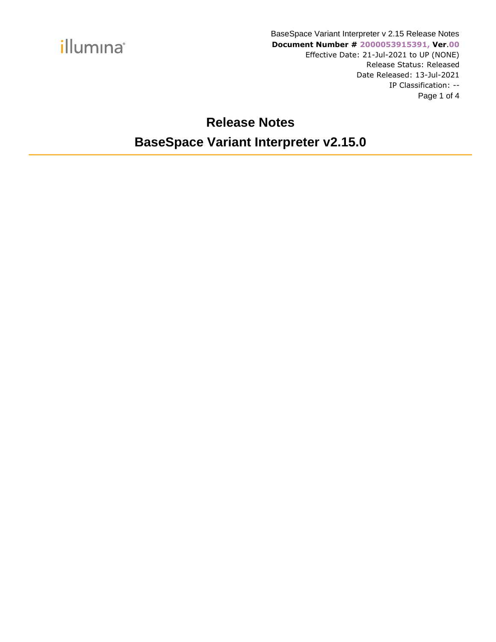

#### **Release Notes BaseSpace Variant Interpreter v2.15.0**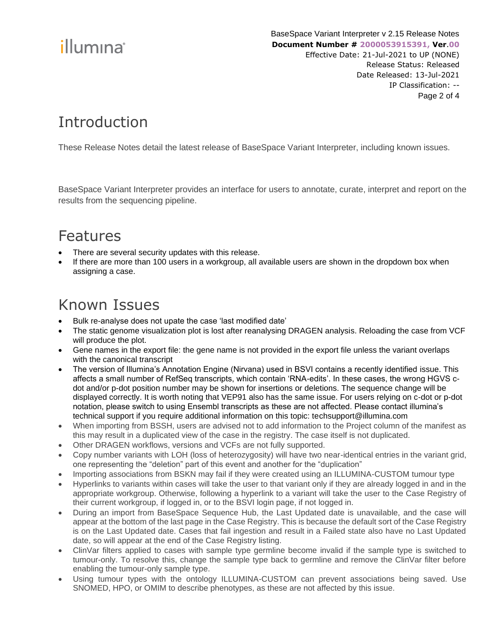# illumina®

### Introduction

These Release Notes detail the latest release of BaseSpace Variant Interpreter, including known issues.

BaseSpace Variant Interpreter provides an interface for users to annotate, curate, interpret and report on the results from the sequencing pipeline.

#### Features

- There are several security updates with this release.
- If there are more than 100 users in a workgroup, all available users are shown in the dropdown box when assigning a case.

#### Known Issues

- Bulk re-analyse does not upate the case 'last modified date'
- The static genome visualization plot is lost after reanalysing DRAGEN analysis. Reloading the case from VCF will produce the plot.
- Gene names in the export file: the gene name is not provided in the export file unless the variant overlaps with the canonical transcript
- The version of Illumina's Annotation Engine (Nirvana) used in BSVI contains a recently identified issue. This affects a small number of RefSeq transcripts, which contain 'RNA-edits'. In these cases, the wrong HGVS cdot and/or p-dot position number may be shown for insertions or deletions. The sequence change will be displayed correctly. It is worth noting that VEP91 also has the same issue. For users relying on c-dot or p-dot notation, please switch to using Ensembl transcripts as these are not affected. Please contact illumina's technical support if you require additional information on this topic: techsupport@illumina.com
- When importing from BSSH, users are advised not to add information to the Project column of the manifest as this may result in a duplicated view of the case in the registry. The case itself is not duplicated.
- Other DRAGEN workflows, versions and VCFs are not fully supported.
- Copy number variants with LOH (loss of heterozygosity) will have two near-identical entries in the variant grid, one representing the "deletion" part of this event and another for the "duplication"
- Importing associations from BSKN may fail if they were created using an ILLUMINA-CUSTOM tumour type
- Hyperlinks to variants within cases will take the user to that variant only if they are already logged in and in the appropriate workgroup. Otherwise, following a hyperlink to a variant will take the user to the Case Registry of their current workgroup, if logged in, or to the BSVI login page, if not logged in.
- During an import from BaseSpace Sequence Hub, the Last Updated date is unavailable, and the case will appear at the bottom of the last page in the Case Registry. This is because the default sort of the Case Registry is on the Last Updated date. Cases that fail ingestion and result in a Failed state also have no Last Updated date, so will appear at the end of the Case Registry listing.
- ClinVar filters applied to cases with sample type germline become invalid if the sample type is switched to tumour-only. To resolve this, change the sample type back to germline and remove the ClinVar filter before enabling the tumour-only sample type.
- Using tumour types with the ontology ILLUMINA-CUSTOM can prevent associations being saved. Use SNOMED, HPO, or OMIM to describe phenotypes, as these are not affected by this issue.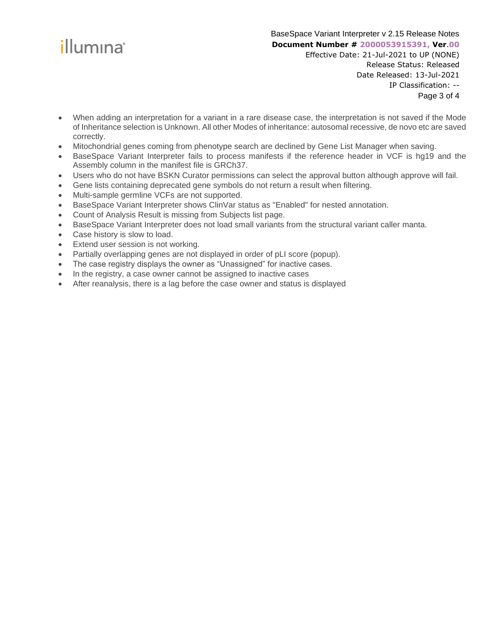

Page 3 of 4

- When adding an interpretation for a variant in a rare disease case, the interpretation is not saved if the Mode of Inheritance selection is Unknown. All other Modes of inheritance: autosomal recessive, de novo etc are saved correctly.
- Mitochondrial genes coming from phenotype search are declined by Gene List Manager when saving.
- BaseSpace Variant Interpreter fails to process manifests if the reference header in VCF is hg19 and the Assembly column in the manifest file is GRCh37.
- Users who do not have BSKN Curator permissions can select the approval button although approve will fail.
- Gene lists containing deprecated gene symbols do not return a result when filtering.
- Multi-sample germline VCFs are not supported.
- BaseSpace Variant Interpreter shows ClinVar status as "Enabled" for nested annotation.
- Count of Analysis Result is missing from Subjects list page.
- BaseSpace Variant Interpreter does not load small variants from the structural variant caller manta.
- Case history is slow to load.
- Extend user session is not working.
- Partially overlapping genes are not displayed in order of pLI score (popup).
- The case registry displays the owner as "Unassigned" for inactive cases.
- In the registry, a case owner cannot be assigned to inactive cases
- After reanalysis, there is a lag before the case owner and status is displayed